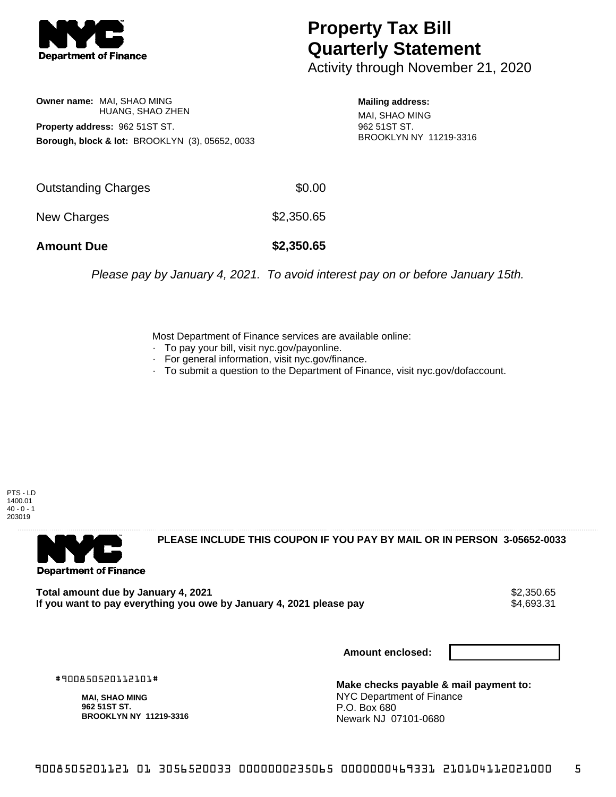

## **Property Tax Bill Quarterly Statement**

Activity through November 21, 2020

**Owner name:** MAI, SHAO MING HUANG, SHAO ZHEN **Property address:** 962 51ST ST. **Borough, block & lot:** BROOKLYN (3), 05652, 0033

**Mailing address:** MAI, SHAO MING 962 51ST ST. BROOKLYN NY 11219-3316

| <b>Amount Due</b>          | \$2,350.65 |
|----------------------------|------------|
| New Charges                | \$2,350.65 |
| <b>Outstanding Charges</b> | \$0.00     |

Please pay by January 4, 2021. To avoid interest pay on or before January 15th.

Most Department of Finance services are available online:

- · To pay your bill, visit nyc.gov/payonline.
- For general information, visit nyc.gov/finance.
- · To submit a question to the Department of Finance, visit nyc.gov/dofaccount.

PTS - LD 1400.01  $40 - 0 - 1$ 203019



**PLEASE INCLUDE THIS COUPON IF YOU PAY BY MAIL OR IN PERSON 3-05652-0033** 

**Total amount due by January 4, 2021**<br>If you want to pay everything you owe by January 4, 2021 please pay **show that the summan way of the set of th** If you want to pay everything you owe by January 4, 2021 please pay

**Amount enclosed:**

#900850520112101#

**MAI, SHAO MING 962 51ST ST. BROOKLYN NY 11219-3316**

**Make checks payable & mail payment to:** NYC Department of Finance P.O. Box 680 Newark NJ 07101-0680